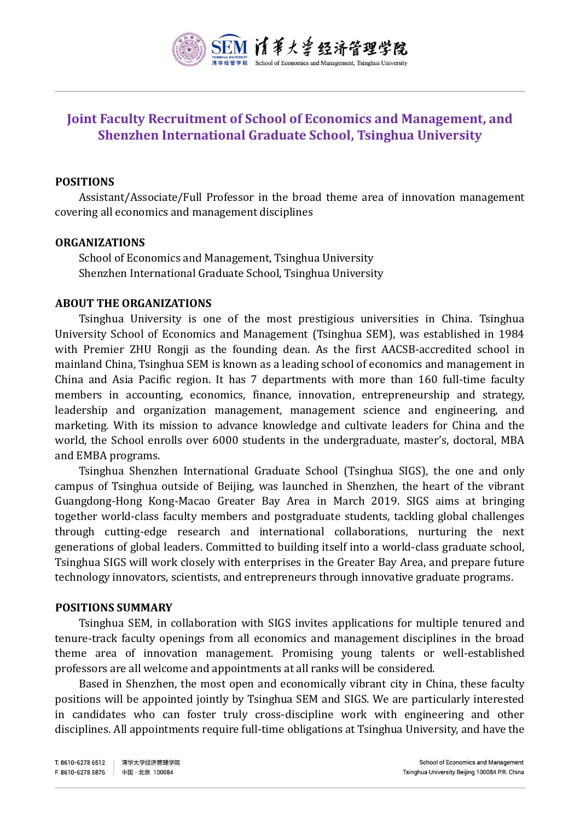

# **Joint Faculty Recruitment of School of Economics and Management, and Shenzhen International Graduate School, Tsinghua University**

## **POSITIONS**

Assistant/Associate/Full Professor in the broad theme area of innovation management covering all economics and management disciplines

## **ORGANIZATIONS**

School of Economics and Management, Tsinghua University Shenzhen International Graduate School, Tsinghua University

#### **ABOUT THE ORGANIZATIONS**

Tsinghua University is one of the most prestigious universities in China. Tsinghua University School of Economics and Management (Tsinghua SEM), was established in 1984 with Premier ZHU Rongji as the founding dean. As the first AACSB-accredited school in mainland China, Tsinghua SEM is known as a leading school of economics and management in China and Asia Pacific region. It has 7 departments with more than 160 full-time faculty members in accounting, economics, finance, innovation, entrepreneurship and strategy, leadership and organization management, management science and engineering, and marketing. With its mission to advance knowledge and cultivate leaders for China and the world, the School enrolls over 6000 students in the undergraduate, master's, doctoral, MBA and EMBA programs.

Tsinghua Shenzhen International Graduate School (Tsinghua SIGS), the one and only campus of Tsinghua outside of Beijing, was launched in Shenzhen, the heart of the vibrant Guangdong-Hong Kong-Macao Greater Bay Area in March 2019. SIGS aims at bringing together world-class faculty members and postgraduate students, tackling global challenges through cutting-edge research and international collaborations, nurturing the next generations of global leaders. Committed to building itself into a world-class graduate school, Tsinghua SIGS will work closely with enterprises in the Greater Bay Area, and prepare future technology innovators, scientists, and entrepreneurs through innovative graduate programs.

#### **POSITIONS SUMMARY**

Tsinghua SEM, in collaboration with SIGS invites applications for multiple tenured and tenure-track faculty openings from all economics and management disciplines in the broad theme area of innovation management. Promising young talents or well-established professors are all welcome and appointments at all ranks will be considered.

Based in Shenzhen, the most open and economically vibrant city in China, these faculty positions will be appointed jointly by Tsinghua SEM and SIGS. We are particularly interested in candidates who can foster truly cross-discipline work with engineering and other disciplines. All appointments require full-time obligations at Tsinghua University, and have the